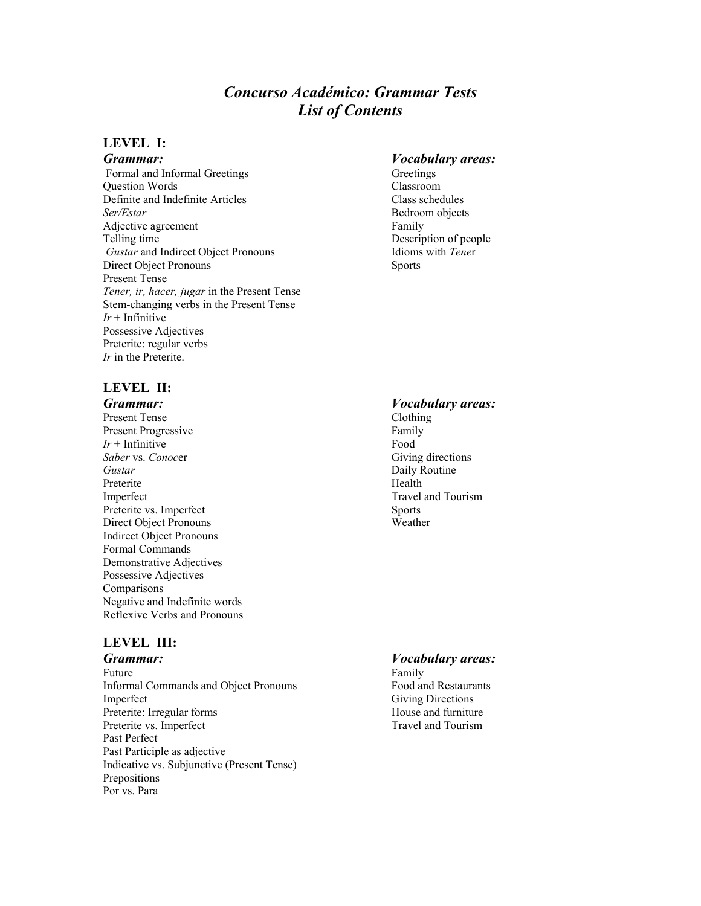# *Concurso Académico: Grammar Tests List of Contents*

### **LEVEL I:**

Formal and Informal Greetings Greetings Greetings Question Words Classroom Definite and Indefinite Articles Class schedules *Ser/Estar* Bedroom objects Adjective agreement Family Telling time<br>
Gustar and Indirect Object Pronouns<br>
Idioms with Tener *Gustar* and Indirect Object Pronouns Direct Object Pronouns Sports Present Tense *Tener, ir, hacer, jugar* in the Present Tense Stem-changing verbs in the Present Tense *Ir* + Infinitive Possessive Adjectives Preterite: regular verbs *Ir* in the Preterite.

### *Grammar: Vocabulary areas:*

### **LEVEL II:**

*Grammar: Vocabulary areas:* Present Tense Clothing Present Progressive Family  $Ir + Infinite$  Food **Saber** vs. *Conoc*er Giving directions *Gustar* Daily Routine Preterite Health Imperfect Travel and Tourism Preterite vs. Imperfect Sports Direct Object Pronouns Weather Indirect Object Pronouns Formal Commands Demonstrative Adjectives Possessive Adjectives **Comparisons** Negative and Indefinite words Reflexive Verbs and Pronouns

## **LEVEL III:**

*Grammar: Vocabulary areas:* Future Family Informal Commands and Object Pronouns Food and Restaurants Imperfect<br>
Preterite: Irregular forms<br>
Preterite: Irregular forms<br>
Shouse and furniture Preterite: Irregular forms Preterite vs. Imperfect Travel and Tourism Past Perfect Past Participle as adjective Indicative vs. Subjunctive (Present Tense) Prepositions Por vs. Para